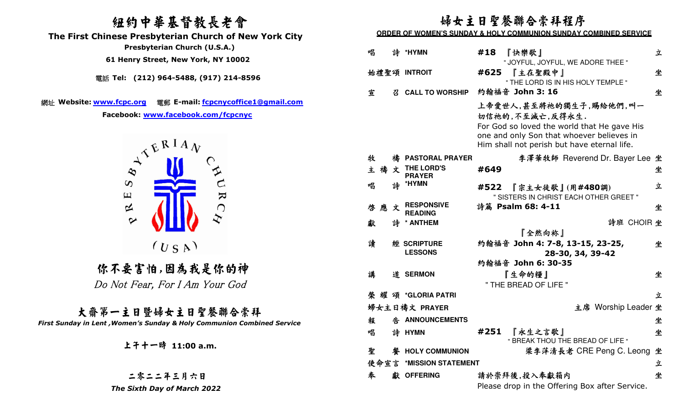# 紐約中華基督教長老會

 **The First Chinese Presbyterian Church of New York City** 

 **Presbyterian Church (U.S.A.)** 

 **61 Henry Street, New York, NY 10002**

電話 **Tel: (212) 964-5488, (917) 214-8596** 

網址 **Website: www.fcpc.org** 電郵 **E-mail: fcpcnycoffice1@gmail.com**

**Facebook: www.facebook.com/fcpcnyc**



你不要害怕,因為我是你的神 Do Not Fear, For I Am Your God

大齋第一主日暨婦女主日聖餐聯合崇拜*First Sunday in Lent ,Women's Sunday & Holy Communion Combined Service* 

上午十一時 **11:00 a.m.**

二零二二年三月六日 *The Sixth Day of March 2022* 

# 婦女主日聖餐聯合崇拜程序

#### **ORDER OF WOMEN'S SUNDAY & HOLY COMMUNION SUNDAY COMBINED SERVICE**

| 唱      |   | 詩 *HYMN                             | #18<br>『快樂歌』<br>" JOYFUL, JOYFUL, WE ADORE THEE "                                                                                                                                    | 立 |
|--------|---|-------------------------------------|--------------------------------------------------------------------------------------------------------------------------------------------------------------------------------------|---|
|        |   | 始禮聖頌 INTROIT                        | #625<br>『主在聖殿中』<br>" THE LORD IS IN HIS HOLY TEMPLE "                                                                                                                                | 坐 |
| 宣      |   | 召 CALL TO WORSHIP                   | 約翰福音 John 3: 16                                                                                                                                                                      | 坐 |
|        |   |                                     | 上帝愛世人,甚至將祂的獨生子,賜給他們,叫一<br>切信祂的,不至滅亡,反得永生.<br>For God so loved the world that He gave His<br>one and only Son that whoever believes in<br>Him shall not perish but have eternal life. |   |
| 牧      |   | 禱 PASTORAL PRAYER                   | 李澤華牧師 Reverend Dr. Bayer Lee 坐                                                                                                                                                       |   |
| 禱<br>主 | 文 | THE LORD'S<br><b>PRAYER</b>         | #649                                                                                                                                                                                 | 坐 |
| 唱      | 詩 | *HYMN                               | 『宗主女徒歌』(用#480調)<br>#522<br>" SISTERS IN CHRIST EACH OTHER GREET "                                                                                                                    | 立 |
| 啓應     | 文 | <b>RESPONSIVE</b><br><b>READING</b> | 詩篇 Psalm 68: 4-11                                                                                                                                                                    | 坐 |
| 獻      |   | 詩 * ANTHEM                          | 詩班 CHOIR 坐                                                                                                                                                                           |   |
|        |   |                                     |                                                                                                                                                                                      |   |
|        |   |                                     | 『全然向袮』                                                                                                                                                                               |   |
| 讀      |   | 經 SCRIPTURE                         | 約翰福音 John 4: 7-8, 13-15, 23-25,                                                                                                                                                      | 坐 |
|        |   | <b>LESSONS</b>                      | 28-30, 34, 39-42                                                                                                                                                                     |   |
|        |   |                                     | 約翰福音 John 6: 30-35                                                                                                                                                                   |   |
| 講      |   | 道 SERMON                            | 『生命的糧』                                                                                                                                                                               | 坐 |
|        |   | 榮耀頌 *GLORIA PATRI                   | " THE BREAD OF LIFE "                                                                                                                                                                | 立 |
|        |   |                                     |                                                                                                                                                                                      |   |
|        |   | 婦女主日禱文 PRAYER                       | 主席 Worship Leader 坐                                                                                                                                                                  |   |
| 報      |   | 告 ANNOUNCEMENTS                     |                                                                                                                                                                                      | 坐 |
| 唱      |   | 詩 HYMN                              | #251<br>『永生之言歌』<br>" BREAK THOU THE BREAD OF LIFE "                                                                                                                                  | 坐 |
| 聖      |   | 餐 HOLY COMMUNION                    | 梁李萍清長老 CRE Peng C. Leong                                                                                                                                                             | 坐 |
| 使命宣言   |   | *MISSION STATEMENT                  |                                                                                                                                                                                      | 立 |
| 奉      |   | 獻 OFFERING                          | 請於崇拜後,投入奉獻箱内                                                                                                                                                                         | 坐 |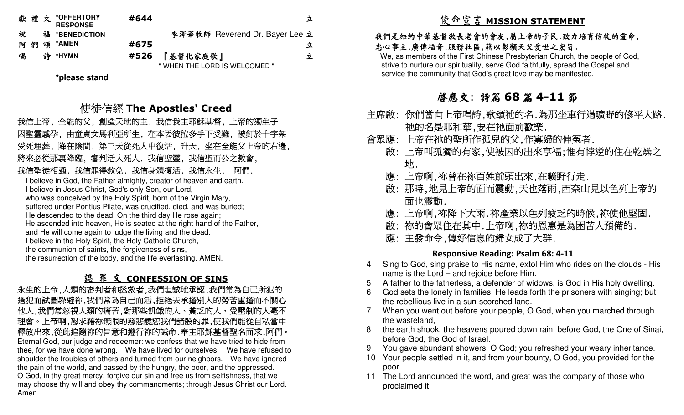|    | 獻禮文 *OFFERTORY<br><b>RESPONSE</b> | #644 |                                | 立 |
|----|-----------------------------------|------|--------------------------------|---|
| 祝  | 福 *BENEDICTION                    |      | 李澤華牧師 Reverend Dr. Bayer Lee 立 |   |
| 阿們 | 颂 *AMEN                           | #675 |                                | 立 |
| 唱  | 詩 *HYMN                           | #526 | 『基督化家庭歌』                       | 立 |
|    |                                   |      | " WHEN THE LORD IS WELCOMED "  |   |

**\*please stand** 

使徒信經 The Apostles' Creed<br><sub>I</sub>分 飢<del>渣天地的主 我有我主取稣基</del>督 上

 我信上帝, 全能的父, 創造天地的主. 我信我主耶穌基督, 上帝的獨生子 因聖靈感孕, 由童貞女馬利亞所生, 在本丟彼拉多手下受難, 被釘於十字架 受死埋葬, 降在陰間, 第三天從死人中復活, 升天, 坐在全能父上帝的右邊, 將來必從那裏降臨, 審判活人死人. 我信聖靈, 我信聖而公之教會, 我信聖徒相通, 我信罪得赦免, 我信身體復活, 我信永生. 阿們.

 I believe in God, the Father almighty, creator of heaven and earth. I believe in Jesus Christ, God's only Son, our Lord, who was conceived by the Holy Spirit, born of the Virgin Mary, suffered under Pontius Pilate, was crucified, died, and was buried; He descended to the dead. On the third day He rose again; He ascended into heaven, He is seated at the right hand of the Father, and He will come again to judge the living and the dead. I believe in the Holy Spirit, the Holy Catholic Church, the communion of saints, the forgiveness of sins, the resurrection of the body, and the life everlasting. AMEN.

# 認 罪 文 **CONFESSION OF SINS**

 永生的上帝,人類的審判者和拯救者,我們坦誠地承認,我們常為自己所犯的 過犯而試圖躲避祢,我們常為自己而活,拒絕去承擔別人的勞苦重擔而不關心 他人,我們常忽視人類的痛苦,對那些飢餓的人、貧乏的人、受壓制的人毫不 理會。上帝啊,懇求藉祢無限的慈悲饒恕我們諸般的罪,使我們能從自私當中 釋放出來,從此追隨祢的旨意和遵行祢的誡命.奉主耶穌基督聖名而求,阿們。 Eternal God, our judge and redeemer: we confess that we have tried to hide from thee, for we have done wrong. We have lived for ourselves. We have refused to shoulder the troubles of others and turned from our neighbors. We have ignored the pain of the world, and passed by the hungry, the poor, and the oppressed. O God, in thy great mercy, forgive our sin and free us from selfishness, that we may choose thy will and obey thy commandments; through Jesus Christ our Lord. Amen.

# 使命宣言 **MISSION STATEMENT**

## 我們是紐約中華基督教長老會的會友,屬上帝的子民.致力培育信徒的靈命, 忠心事主,廣傳福音,服務社區,藉以彰顯天父愛世之宏旨.

 We, as members of the First Chinese Presbyterian Church, the people of God, strive to nurture our spirituality, serve God faithfully, spread the Gospel and service the community that God's great love may be manifested.

# 啟應文: 詩篇 **<sup>68</sup>** 篇 **4-11** 節

- 主席啟: 你們當向上帝唱詩,歌頌祂的名.為那坐車行過曠野的修平大路. 祂的名是耶和華,要在祂面前歡樂.
- 會眾應: 上帝在祂的聖所作孤兒的父,作寡婦的伸冤者.
- 啟: 上帝叫孤獨的有家,使被囚的出來享福;惟有悖逆的住在乾燥之 地.
- 應: 上帝啊,祢曾在祢百姓前頭出來,在曠野行走.
- 啟: 那時,地見上帝的面而震動,天也落雨,西奈山見以色列上帝的 面也震動.
- 應: 上帝啊,祢降下大雨.祢產業以色列疲乏的時候,祢使他堅固.
- 啟: 祢的會眾住在其中.上帝啊,祢的恩惠是為困苦人預備的.
- 應: 主發命令,傳好信息的婦女成了大群.

## **Responsive Reading: Psalm 68: 4-11**

- Sing to God, sing praise to His name, extol Him who rides on the clouds His 4name is the Lord – and rejoice before Him.
- 5 A father to the fatherless, a defender of widows, is God in His holy dwelling.
- 6 God sets the lonely in families, He leads forth the prisoners with singing; but the rebellious live in a sun-scorched land.
- 7 When you went out before your people, O God, when you marched through the wasteland,
- 8 the earth shook, the heavens poured down rain, before God, the One of Sinai, before God, the God of Israel.
- 9 You gave abundant showers, O God; you refreshed your weary inheritance.
- 10 Your people settled in it, and from your bounty, O God, you provided for the poor.
- 11 The Lord announced the word, and great was the company of those who proclaimed it.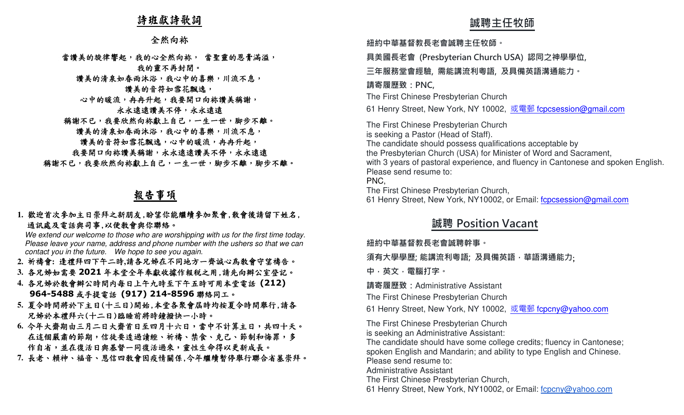## 詩班獻詩歌詞

#### 全然向袮

## 當讚美的旋律響起,我的心全然向袮, 當聖靈的恩膏滿溢, 我的靈不再封閉。

讚美的清泉如春雨沐浴,我心中的喜樂,川流不息,

## 讚美的音符如雪花飄逸,

## 心中的暖流,冉冉升起,我要開口向袮讚美稱謝,

#### 永永遠遠護護、永永遠遠

- 稱謝不已,我要欣然向袮獻上自己,一生一世,脚步不離。
	- 讚美的清泉如春雨沐浴,我心中的喜樂,川流不息,

#### 讚美的音符如雪花飄逸,心中的暖流,冉冉升起,

我要開口向袮讚美稱謝,永永遠遠讚美不停,永永遠遠 稱謝不已,我要欣然向袮獻上自己,一生一世,脚步不離,脚步不離。

# 報告事項

## **1.** 歡迎首次參加主日崇拜之新朋友,盼望你能繼續參加聚會,散會後請留下姓名, 通訊處及電話與司事,以便教會與你聯絡。

 We extend our welcome to those who are worshipping with us for the first time today. Please leave your name, address and phone number with the ushers so that we can contact you in the future. We hope to see you again.

- **2.** 祈禱會**:** 逢禮拜四下午二時**,**請各兄姊在不同地方一齊誠心為教會守望禱告。
- 3. 各兄姊如需要 2021 年本堂全年奉獻收據作報税之用,請先向辦公室登記。<br>4. タロ地认私会做公時明中年只上午上時至下午工時可用土**当電**が(717)
- **4.** 各兄姊於教會辦公時間內每日上午九時至下午五時可用本堂電話 **(212) 964-5488**或手提電話 **(917) 214-8596** 聯絡同工。
- **5.** 夏令時間將於下主日(十三日)開始,本堂各聚會屆時均按夏令時間舉行,請各 兄姊於本禮拜六(十二日)臨睡前將時鐘撥快一小時。
- **6.**今年大齋期由三月二日大齋首日至四月十六日,當中不計算主日,共四十天。在這個嚴肅的節期,信徒要透過讀經、祈禱、禁食、克己、節制和悔罪,多 作自省,並在復活日與基督一同復活過來,靈性生命得以更新成長。
- **7.** 長老、賴神、福音、恩信四教會因疫情關係,今年繼續暫停舉行聯合省墓崇拜。

# **誠聘主任牧師**

#### **紐約中華基督教⻑老會誠聘主任牧師。**

**具美國⻑老會 (Presbyterian Church USA) 認同之神學學位,** 

## **三年服務堂會經驗, 需能講流利粵語, 及具備英語溝通能力。**

#### **請寄履歷致:PNC,**

The First Chinese Presbyterian Church

61 Henry Street, New York, NY 10002, <u>或電郵 f<mark>cpcsession@gmail.com</mark></u>

The First Chinese Presbyterian Church is seeking a Pastor (Head of Staff). The candidate should possess qualifications acceptable by the Presbyterian Church (USA) for Minister of Word and Sacrament, with 3 years of pastoral experience, and fluency in Cantonese and spoken English.Please send resume to: PNC, The First Chinese Presbyterian Church,

61 Henry Street, New York, NY10002, or Email: fcpcsession@gmail.com

# **誠聘 Position Vacant**

#### **紐約中華基督教⻑老會誠聘幹事。**

#### **須有大學學歷; 能講流利粵語; 及具備英語,華語溝通能力**;

**中,英文,電腦打字。 請寄履歷致:**Administrative Assistant

The First Chinese Presbyterian Church

61 Henry Street, New York, NY 10002, <u>或電郵 f<mark>cpcny@yahoo.com</mark></u>

The First Chinese Presbyterian Church

is seeking an Administrative Assistant:

 The candidate should have some college credits; fluency in Cantonese; spoken English and Mandarin; and ability to type English and Chinese.

Please send resume to:

Administrative Assistant

The First Chinese Presbyterian Church,

61 Henry Street, New York, NY10002, or Email: fcpcny@yahoo.com